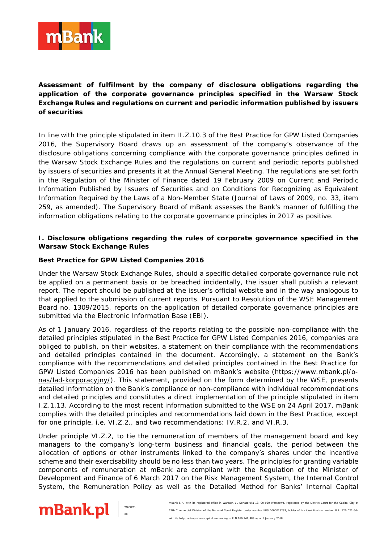

**Assessment of fulfilment by the company of disclosure obligations regarding the application of the corporate governance principles specified in the Warsaw Stock Exchange Rules and regulations on current and periodic information published by issuers of securities**

In line with the principle stipulated in item II.Z.10.3 of the Best Practice for GPW Listed Companies 2016, the Supervisory Board draws up an assessment of the company's observance of the disclosure obligations concerning compliance with the corporate governance principles defined in the Warsaw Stock Exchange Rules and the regulations on current and periodic reports published by issuers of securities and presents it at the Annual General Meeting. The regulations are set forth in the Regulation of the Minister of Finance dated 19 February 2009 on Current and Periodic Information Published by Issuers of Securities and on Conditions for Recognizing as Equivalent Information Required by the Laws of a Non-Member State (Journal of Laws of 2009, no. 33, item 259, as amended). The Supervisory Board of mBank assesses the Bank's manner of fulfilling the information obligations relating to the corporate governance principles in 2017 as positive.

## **I. Disclosure obligations regarding the rules of corporate governance specified in the Warsaw Stock Exchange Rules**

## **Best Practice for GPW Listed Companies 2016**

Under the Warsaw Stock Exchange Rules, should a specific detailed corporate governance rule not be applied on a permanent basis or be breached incidentally, the issuer shall publish a relevant report. The report should be published at the issuer's official website and in the way analogous to that applied to the submission of current reports. Pursuant to Resolution of the WSE Management Board no. 1309/2015, reports on the application of detailed corporate governance principles are submitted via the Electronic Information Base (EBI).

As of 1 January 2016, regardless of the reports relating to the possible non-compliance with the detailed principles stipulated in the Best Practice for GPW Listed Companies 2016, companies are obliged to publish, on their websites, a statement on their compliance with the recommendations and detailed principles contained in the document. Accordingly, a statement on the Bank's compliance with the recommendations and detailed principles contained in the Best Practice for GPW Listed Companies 2016 has been published on mBank's website [\(https://www.mbank.pl/o](https://www.mbank.pl/o-nas/lad-korporacyjny/)[nas/lad-korporacyjny/\)](https://www.mbank.pl/o-nas/lad-korporacyjny/). This statement, provided on the form determined by the WSE, presents detailed information on the Bank's compliance or non-compliance with individual recommendations and detailed principles and constitutes a direct implementation of the principle stipulated in item I.Z.1.13. According to the most recent information submitted to the WSE on 24 April 2017, mBank complies with the detailed principles and recommendations laid down in the Best Practice, except for one principle, i.e. VI.Z.2., and two recommendations: IV.R.2. and VI.R.3.

Under principle VI.Z.2, to tie the remuneration of members of the management board and key managers to the company's long-term business and financial goals, the period between the allocation of options or other instruments linked to the company's shares under the incentive scheme and their exercisability should be no less than two years. The principles for granting variable components of remuneration at mBank are compliant with the Regulation of the Minister of Development and Finance of 6 March 2017 on the Risk Management System, the Internal Control System, the Remuneration Policy as well as the Detailed Method for Banks' Internal Capital